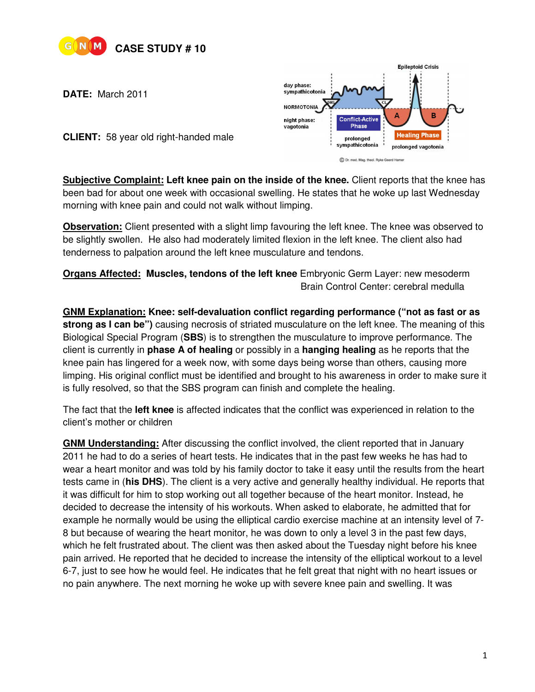

**DATE:** March 2011



**CLIENT:** 58 year old right-handed male

**Subjective Complaint: Left knee pain on the inside of the knee.** Client reports that the knee has been bad for about one week with occasional swelling. He states that he woke up last Wednesday morning with knee pain and could not walk without limping.

**Observation:** Client presented with a slight limp favouring the left knee. The knee was observed to be slightly swollen. He also had moderately limited flexion in the left knee. The client also had tenderness to palpation around the left knee musculature and tendons.

**Organs Affected: Muscles, tendons of the left knee** Embryonic Germ Layer: new mesoderm Brain Control Center: cerebral medulla

**GNM Explanation: Knee: self-devaluation conflict regarding performance ("not as fast or as strong as I can be")** causing necrosis of striated musculature on the left knee. The meaning of this Biological Special Program (**SBS**) is to strengthen the musculature to improve performance. The client is currently in **phase A of healing** or possibly in a **hanging healing** as he reports that the knee pain has lingered for a week now, with some days being worse than others, causing more limping. His original conflict must be identified and brought to his awareness in order to make sure it is fully resolved, so that the SBS program can finish and complete the healing.

The fact that the **left knee** is affected indicates that the conflict was experienced in relation to the client's mother or children

**GNM Understanding:** After discussing the conflict involved, the client reported that in January 2011 he had to do a series of heart tests. He indicates that in the past few weeks he has had to wear a heart monitor and was told by his family doctor to take it easy until the results from the heart tests came in (**his DHS**). The client is a very active and generally healthy individual. He reports that it was difficult for him to stop working out all together because of the heart monitor. Instead, he decided to decrease the intensity of his workouts. When asked to elaborate, he admitted that for example he normally would be using the elliptical cardio exercise machine at an intensity level of 7- 8 but because of wearing the heart monitor, he was down to only a level 3 in the past few days, which he felt frustrated about. The client was then asked about the Tuesday night before his knee pain arrived. He reported that he decided to increase the intensity of the elliptical workout to a level 6-7, just to see how he would feel. He indicates that he felt great that night with no heart issues or no pain anywhere. The next morning he woke up with severe knee pain and swelling. It was